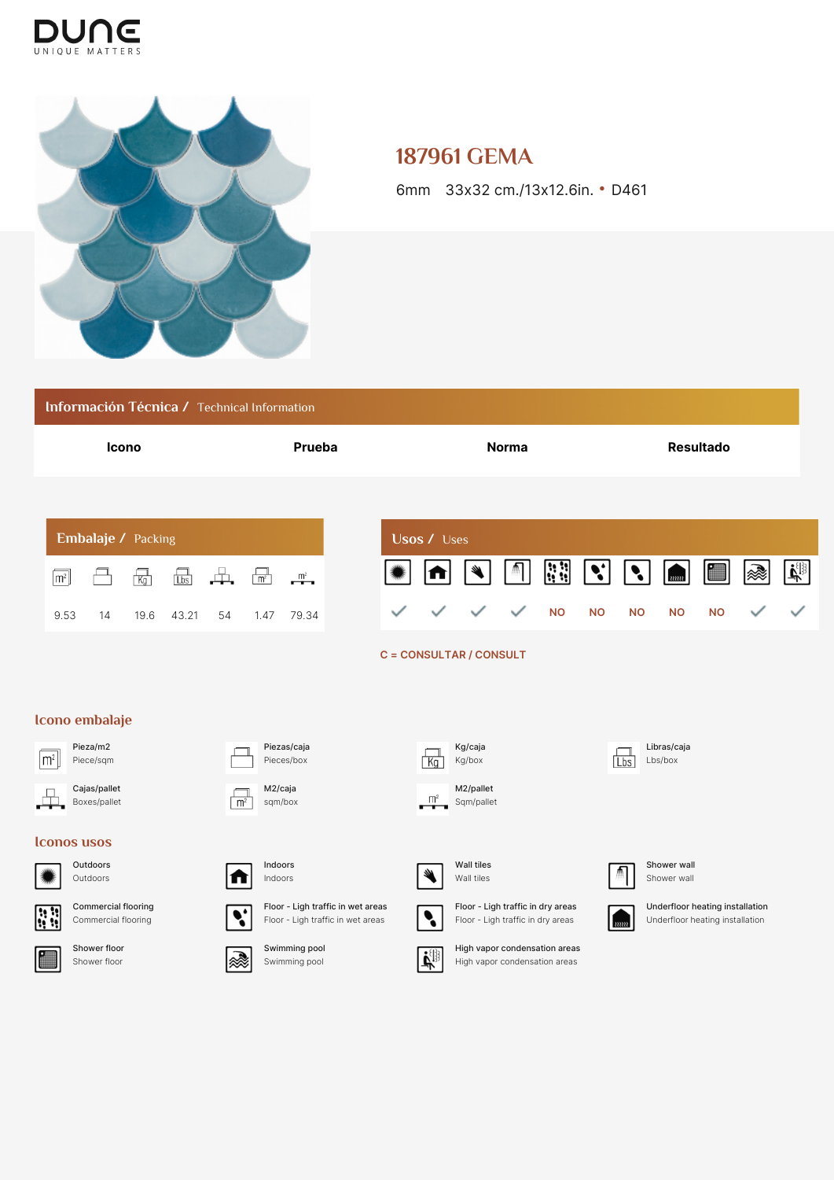



## **187961 GEMA**

6mm 33x32 cm./13x12.6in. • D461

|                                                           | Información Técnica / Technical Information |                              |                    |                           |                                                                                   |                                |                |                         |                                                                                           |                                                                |                          |  |                                                                       |                                                                    |                      |                            |           |   |                                          |
|-----------------------------------------------------------|---------------------------------------------|------------------------------|--------------------|---------------------------|-----------------------------------------------------------------------------------|--------------------------------|----------------|-------------------------|-------------------------------------------------------------------------------------------|----------------------------------------------------------------|--------------------------|--|-----------------------------------------------------------------------|--------------------------------------------------------------------|----------------------|----------------------------|-----------|---|------------------------------------------|
| Icono                                                     |                                             |                              |                    | Prueba                    |                                                                                   |                                |                |                         | <b>Norma</b>                                                                              |                                                                |                          |  |                                                                       | <b>Resultado</b>                                                   |                      |                            |           |   |                                          |
|                                                           |                                             |                              | Embalaje / Packing |                           |                                                                                   |                                |                |                         |                                                                                           | <b>Usos / Uses</b>                                             |                          |  |                                                                       |                                                                    |                      |                            |           |   |                                          |
| m <sup>2</sup>                                            |                                             |                              | $\overline{Kg}$    | $\frac{\Box}{\Box}$       | 革.                                                                                | $\boxed{\frac{1}{m^2}}$        | $\mathbb{R}^2$ |                         |                                                                                           |                                                                |                          |  | $\left  \begin{smallmatrix} 1 & 1 \\ 0 & 1 \end{smallmatrix} \right $ | $ \bm{\cdot} $                                                     | $\ddot{\phantom{a}}$ | $_{\bar{u}\bar{u}\bar{u}}$ |           | ⋙ | $ \mathbf{r}^{\text{eff}}_{\text{eff}} $ |
| 9.53                                                      |                                             | 14                           | 19.6               | 43.21                     | 54                                                                                | 1.47                           | 79.34          |                         |                                                                                           |                                                                | C = CONSULTAR / CONSULT  |  | <b>NO</b>                                                             | <b>NO</b>                                                          | <b>NO</b>            | <b>NO</b>                  | <b>NO</b> |   |                                          |
|                                                           |                                             |                              |                    |                           |                                                                                   |                                |                |                         |                                                                                           |                                                                |                          |  |                                                                       |                                                                    |                      |                            |           |   |                                          |
| Icono embalaje<br>Pieza/m2<br>$\mathsf{m}^2$<br>Piece/sqm |                                             |                              |                    | Piezas/caja<br>Pieces/box |                                                                                   |                                |                | Kg/caja<br>Kg/box<br>Ka |                                                                                           |                                                                |                          |  | Libras/caja<br>Lbs/box<br>Lbs                                         |                                                                    |                      |                            |           |   |                                          |
|                                                           |                                             | Cajas/pallet<br>Boxes/pallet |                    |                           | m <sup>2</sup>                                                                    | M2/caja<br>sqm/box             |                |                         |                                                                                           | $\frac{m^2}{2}$                                                | M2/pallet<br>Sqm/pallet  |  |                                                                       |                                                                    |                      |                            |           |   |                                          |
| <b>Iconos</b> usos                                        |                                             |                              |                    |                           |                                                                                   |                                |                |                         |                                                                                           |                                                                |                          |  |                                                                       |                                                                    |                      |                            |           |   |                                          |
|                                                           | Outdoors<br>Outdoors                        |                              |                    |                           |                                                                                   | Indoors<br>Indoors             |                |                         |                                                                                           |                                                                | Wall tiles<br>Wall tiles |  |                                                                       |                                                                    |                      | Shower wall<br>Shower wall |           |   |                                          |
| <b>Commercial flooring</b><br>33<br>Commercial flooring   |                                             |                              |                    |                           | Floor - Ligh traffic in wet areas<br>$\cdot$<br>Floor - Ligh traffic in wet areas |                                |                | $\ddot{\phantom{0}}$    | Floor - Ligh traffic in dry areas<br>Floor - Ligh traffic in dry areas<br>$\overline{mn}$ |                                                                |                          |  |                                                                       | Underfloor heating installation<br>Underfloor heating installation |                      |                            |           |   |                                          |
| Shower floor<br>F<br>Shower floor                         |                                             |                              |                    | ଛ                         |                                                                                   | Swimming pool<br>Swimming pool |                |                         | 때                                                                                         | High vapor condensation areas<br>High vapor condensation areas |                          |  |                                                                       |                                                                    |                      |                            |           |   |                                          |
|                                                           |                                             |                              |                    |                           |                                                                                   |                                |                |                         |                                                                                           |                                                                |                          |  |                                                                       |                                                                    |                      |                            |           |   |                                          |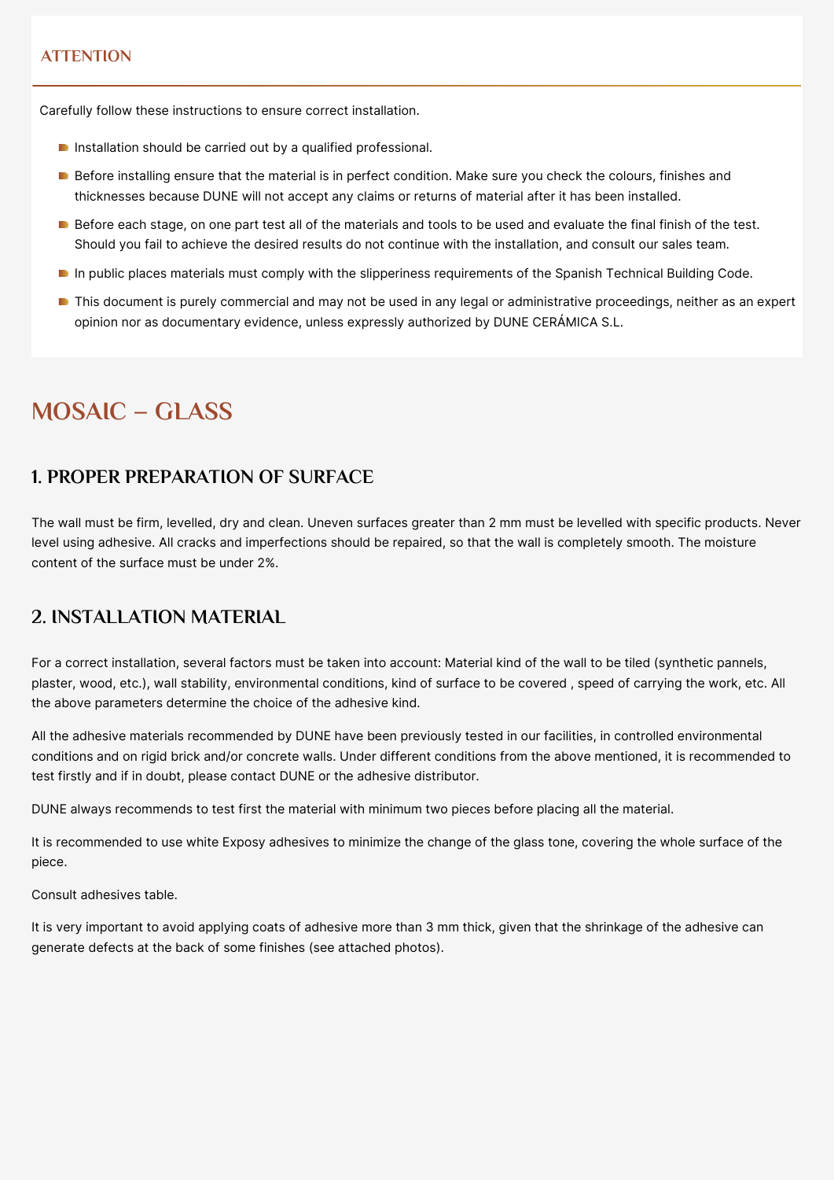#### **ATTENTION**

Carefully follow these instructions to ensure correct installation.

- Installation should be carried out by a qualified professional.
- Before installing ensure that the material is in perfect condition. Make sure you check the colours, finishes and thicknesses because DUNE will not accept any claims or returns of material after it has been installed.
- Before each stage, on one part test all of the materials and tools to be used and evaluate the final finish of the test. Should you fail to achieve the desired results do not continue with the installation, and consult our sales team.
- In public places materials must comply with the slipperiness requirements of the Spanish Technical Building Code.
- **This document is purely commercial and may not be used in any legal or administrative proceedings, neither as an expert** opinion nor as documentary evidence, unless expressly authorized by DUNE CERÁMICA S.L.

# **MOSAIC – GLASS**

#### **1. PROPER PREPARATION OF SURFACE**

The wall must be firm, levelled, dry and clean. Uneven surfaces greater than 2 mm must be levelled with specific products. Never level using adhesive. All cracks and imperfections should be repaired, so that the wall is completely smooth. The moisture content of the surface must be under 2%.

#### **2. INSTALLATION MATERIAL**

For a correct installation, several factors must be taken into account: Material kind of the wall to be tiled (synthetic pannels, plaster, wood, etc.), wall stability, environmental conditions, kind of surface to be covered , speed of carrying the work, etc. All the above parameters determine the choice of the adhesive kind.

All the adhesive materials recommended by DUNE have been previously tested in our facilities, in controlled environmental conditions and on rigid brick and/or concrete walls. Under different conditions from the above mentioned, it is recommended to test firstly and if in doubt, please contact DUNE or the adhesive distributor.

DUNE always recommends to test first the material with minimum two pieces before placing all the material.

It is recommended to use white Exposy adhesives to minimize the change of the glass tone, covering the whole surface of the piece.

Consult adhesives table.

It is very important to avoid applying coats of adhesive more than 3 mm thick, given that the shrinkage of the adhesive can generate defects at the back of some finishes (see attached photos).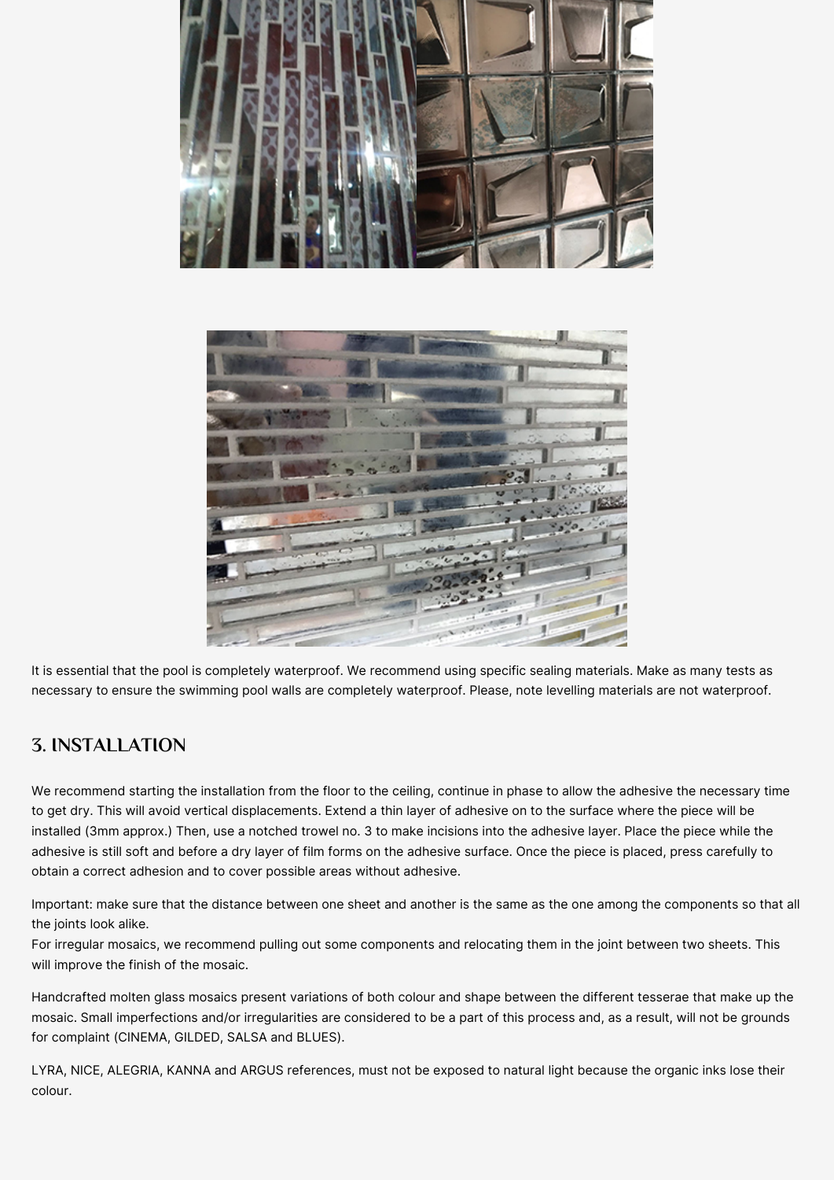



It is essential that the pool is completely waterproof. We recommend using specific sealing materials. Make as many tests as necessary to ensure the swimming pool walls are completely waterproof. Please, note levelling materials are not waterproof.

## **3. INSTALLATION**

We recommend starting the installation from the floor to the ceiling, continue in phase to allow the adhesive the necessary time to get dry. This will avoid vertical displacements. Extend a thin layer of adhesive on to the surface where the piece will be installed (3mm approx.) Then, use a notched trowel no. 3 to make incisions into the adhesive layer. Place the piece while the adhesive is still soft and before a dry layer of film forms on the adhesive surface. Once the piece is placed, press carefully to obtain a correct adhesion and to cover possible areas without adhesive.

Important: make sure that the distance between one sheet and another is the same as the one among the components so that all the joints look alike.

For irregular mosaics, we recommend pulling out some components and relocating them in the joint between two sheets. This will improve the finish of the mosaic.

Handcrafted molten glass mosaics present variations of both colour and shape between the different tesserae that make up the mosaic. Small imperfections and/or irregularities are considered to be a part of this process and, as a result, will not be grounds for complaint (CINEMA, GILDED, SALSA and BLUES).

LYRA, NICE, ALEGRIA, KANNA and ARGUS references, must not be exposed to natural light because the organic inks lose their colour.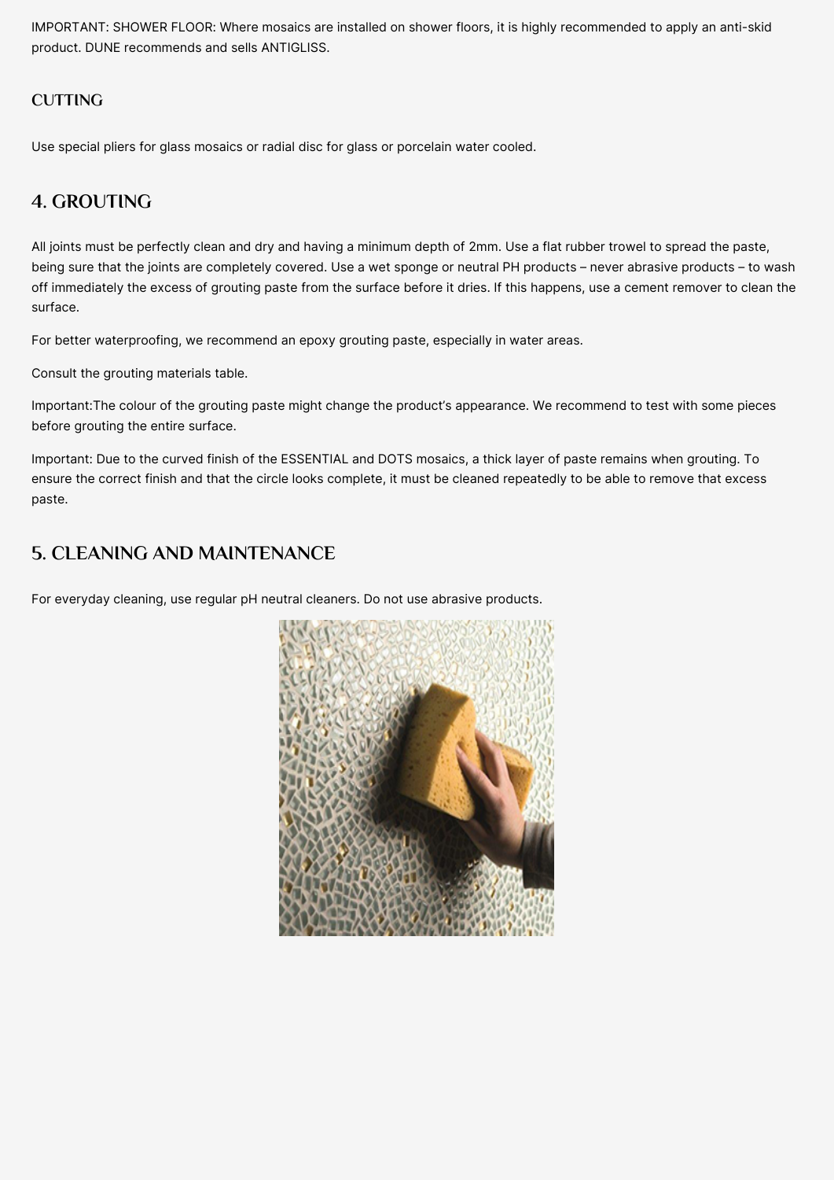IMPORTANT: SHOWER FLOOR: Where mosaics are installed on shower floors, it is highly recommended to apply an anti-skid product. DUNE recommends and sells ANTIGLISS.

#### **CUTTING**

Use special pliers for glass mosaics or radial disc for glass or porcelain water cooled.

#### **4. GROUTING**

All joints must be perfectly clean and dry and having a minimum depth of 2mm. Use a flat rubber trowel to spread the paste, being sure that the joints are completely covered. Use a wet sponge or neutral PH products – never abrasive products – to wash off immediately the excess of grouting paste from the surface before it dries. If this happens, use a cement remover to clean the surface.

For better waterproofing, we recommend an epoxy grouting paste, especially in water areas.

Consult the grouting materials table.

Important:The colour of the grouting paste might change the product's appearance. We recommend to test with some pieces before grouting the entire surface.

Important: Due to the curved finish of the ESSENTIAL and DOTS mosaics, a thick layer of paste remains when grouting. To ensure the correct finish and that the circle looks complete, it must be cleaned repeatedly to be able to remove that excess paste.

### **5. CLEANING AND MAINTENANCE**

For everyday cleaning, use regular pH neutral cleaners. Do not use abrasive products.